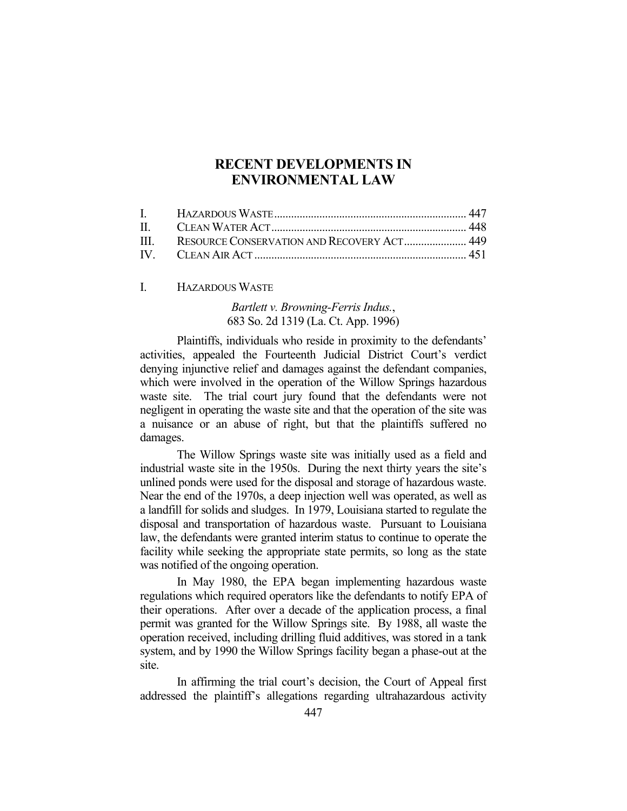# **RECENT DEVELOPMENTS IN ENVIRONMENTAL LAW**

| III. RESOURCE CONSERVATION AND RECOVERY ACT 449 |  |
|-------------------------------------------------|--|
|                                                 |  |

I. HAZARDOUS WASTE

# *Bartlett v. Browning-Ferris Indus.*, 683 So. 2d 1319 (La. Ct. App. 1996)

 Plaintiffs, individuals who reside in proximity to the defendants' activities, appealed the Fourteenth Judicial District Court's verdict denying injunctive relief and damages against the defendant companies, which were involved in the operation of the Willow Springs hazardous waste site. The trial court jury found that the defendants were not negligent in operating the waste site and that the operation of the site was a nuisance or an abuse of right, but that the plaintiffs suffered no damages.

 The Willow Springs waste site was initially used as a field and industrial waste site in the 1950s. During the next thirty years the site's unlined ponds were used for the disposal and storage of hazardous waste. Near the end of the 1970s, a deep injection well was operated, as well as a landfill for solids and sludges. In 1979, Louisiana started to regulate the disposal and transportation of hazardous waste. Pursuant to Louisiana law, the defendants were granted interim status to continue to operate the facility while seeking the appropriate state permits, so long as the state was notified of the ongoing operation.

 In May 1980, the EPA began implementing hazardous waste regulations which required operators like the defendants to notify EPA of their operations. After over a decade of the application process, a final permit was granted for the Willow Springs site. By 1988, all waste the operation received, including drilling fluid additives, was stored in a tank system, and by 1990 the Willow Springs facility began a phase-out at the site.

 In affirming the trial court's decision, the Court of Appeal first addressed the plaintiff's allegations regarding ultrahazardous activity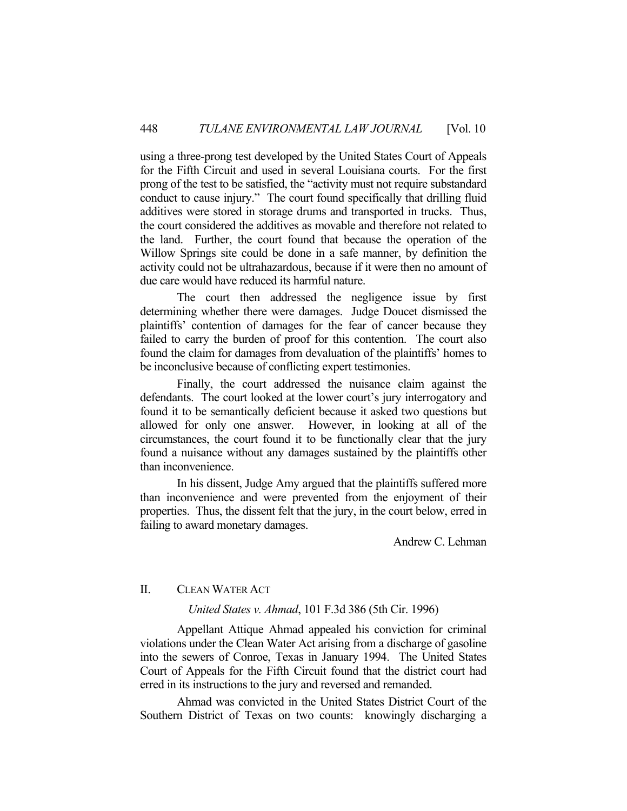using a three-prong test developed by the United States Court of Appeals for the Fifth Circuit and used in several Louisiana courts. For the first prong of the test to be satisfied, the "activity must not require substandard conduct to cause injury." The court found specifically that drilling fluid additives were stored in storage drums and transported in trucks. Thus, the court considered the additives as movable and therefore not related to the land. Further, the court found that because the operation of the Willow Springs site could be done in a safe manner, by definition the activity could not be ultrahazardous, because if it were then no amount of due care would have reduced its harmful nature.

 The court then addressed the negligence issue by first determining whether there were damages. Judge Doucet dismissed the plaintiffs' contention of damages for the fear of cancer because they failed to carry the burden of proof for this contention. The court also found the claim for damages from devaluation of the plaintiffs' homes to be inconclusive because of conflicting expert testimonies.

 Finally, the court addressed the nuisance claim against the defendants. The court looked at the lower court's jury interrogatory and found it to be semantically deficient because it asked two questions but allowed for only one answer. However, in looking at all of the circumstances, the court found it to be functionally clear that the jury found a nuisance without any damages sustained by the plaintiffs other than inconvenience.

 In his dissent, Judge Amy argued that the plaintiffs suffered more than inconvenience and were prevented from the enjoyment of their properties. Thus, the dissent felt that the jury, in the court below, erred in failing to award monetary damages.

Andrew C. Lehman

# II. CLEAN WATER ACT

## *United States v. Ahmad*, 101 F.3d 386 (5th Cir. 1996)

 Appellant Attique Ahmad appealed his conviction for criminal violations under the Clean Water Act arising from a discharge of gasoline into the sewers of Conroe, Texas in January 1994. The United States Court of Appeals for the Fifth Circuit found that the district court had erred in its instructions to the jury and reversed and remanded.

 Ahmad was convicted in the United States District Court of the Southern District of Texas on two counts: knowingly discharging a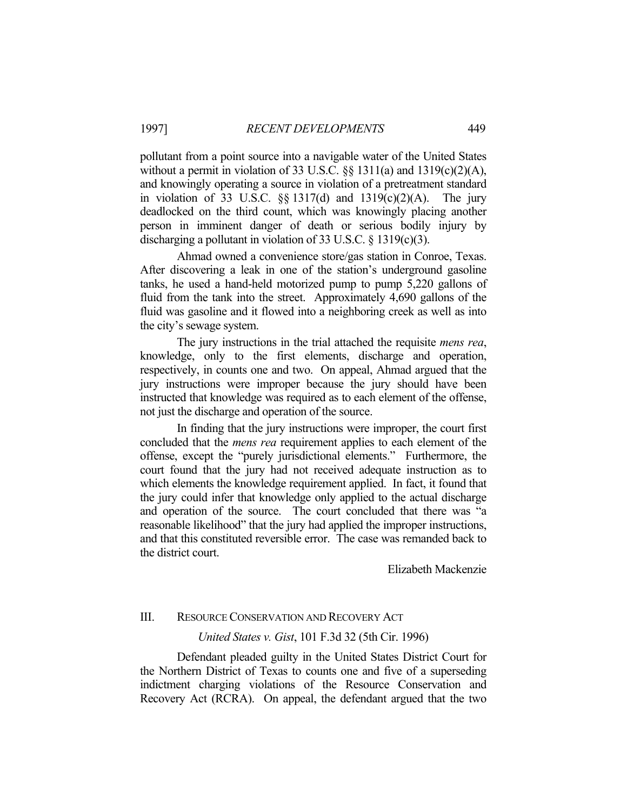pollutant from a point source into a navigable water of the United States without a permit in violation of 33 U.S.C.  $\S$ § 1311(a) and 1319(c)(2)(A), and knowingly operating a source in violation of a pretreatment standard in violation of 33 U.S.C.  $\S$  1317(d) and 1319(c)(2)(A). The jury deadlocked on the third count, which was knowingly placing another person in imminent danger of death or serious bodily injury by discharging a pollutant in violation of 33 U.S.C. § 1319(c)(3).

 Ahmad owned a convenience store/gas station in Conroe, Texas. After discovering a leak in one of the station's underground gasoline tanks, he used a hand-held motorized pump to pump 5,220 gallons of fluid from the tank into the street. Approximately 4,690 gallons of the fluid was gasoline and it flowed into a neighboring creek as well as into the city's sewage system.

 The jury instructions in the trial attached the requisite *mens rea*, knowledge, only to the first elements, discharge and operation, respectively, in counts one and two. On appeal, Ahmad argued that the jury instructions were improper because the jury should have been instructed that knowledge was required as to each element of the offense, not just the discharge and operation of the source.

 In finding that the jury instructions were improper, the court first concluded that the *mens rea* requirement applies to each element of the offense, except the "purely jurisdictional elements." Furthermore, the court found that the jury had not received adequate instruction as to which elements the knowledge requirement applied. In fact, it found that the jury could infer that knowledge only applied to the actual discharge and operation of the source. The court concluded that there was "a reasonable likelihood" that the jury had applied the improper instructions, and that this constituted reversible error. The case was remanded back to the district court.

Elizabeth Mackenzie

#### III. RESOURCE CONSERVATION AND RECOVERY ACT

# *United States v. Gist*, 101 F.3d 32 (5th Cir. 1996)

Defendant pleaded guilty in the United States District Court for the Northern District of Texas to counts one and five of a superseding indictment charging violations of the Resource Conservation and Recovery Act (RCRA). On appeal, the defendant argued that the two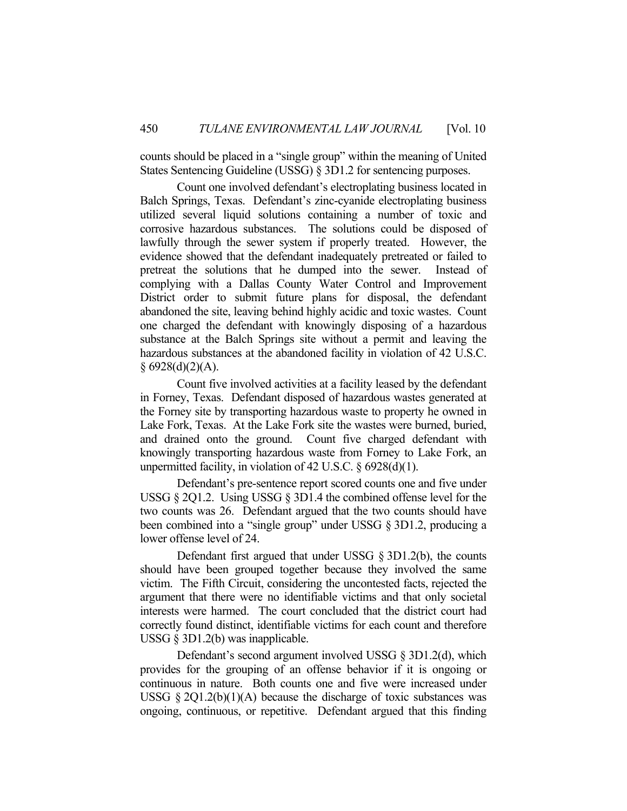counts should be placed in a "single group" within the meaning of United States Sentencing Guideline (USSG) § 3D1.2 for sentencing purposes.

 Count one involved defendant's electroplating business located in Balch Springs, Texas. Defendant's zinc-cyanide electroplating business utilized several liquid solutions containing a number of toxic and corrosive hazardous substances. The solutions could be disposed of lawfully through the sewer system if properly treated. However, the evidence showed that the defendant inadequately pretreated or failed to pretreat the solutions that he dumped into the sewer. Instead of complying with a Dallas County Water Control and Improvement District order to submit future plans for disposal, the defendant abandoned the site, leaving behind highly acidic and toxic wastes. Count one charged the defendant with knowingly disposing of a hazardous substance at the Balch Springs site without a permit and leaving the hazardous substances at the abandoned facility in violation of 42 U.S.C.  $§ 6928(d)(2)(A).$ 

 Count five involved activities at a facility leased by the defendant in Forney, Texas. Defendant disposed of hazardous wastes generated at the Forney site by transporting hazardous waste to property he owned in Lake Fork, Texas. At the Lake Fork site the wastes were burned, buried, and drained onto the ground. Count five charged defendant with knowingly transporting hazardous waste from Forney to Lake Fork, an unpermitted facility, in violation of 42 U.S.C. § 6928(d)(1).

 Defendant's pre-sentence report scored counts one and five under USSG § 2Q1.2. Using USSG § 3D1.4 the combined offense level for the two counts was 26. Defendant argued that the two counts should have been combined into a "single group" under USSG § 3D1.2, producing a lower offense level of 24.

 Defendant first argued that under USSG § 3D1.2(b), the counts should have been grouped together because they involved the same victim. The Fifth Circuit, considering the uncontested facts, rejected the argument that there were no identifiable victims and that only societal interests were harmed. The court concluded that the district court had correctly found distinct, identifiable victims for each count and therefore USSG § 3D1.2(b) was inapplicable.

 Defendant's second argument involved USSG § 3D1.2(d), which provides for the grouping of an offense behavior if it is ongoing or continuous in nature. Both counts one and five were increased under USSG  $\S 2Q1.2(b)(1)(A)$  because the discharge of toxic substances was ongoing, continuous, or repetitive. Defendant argued that this finding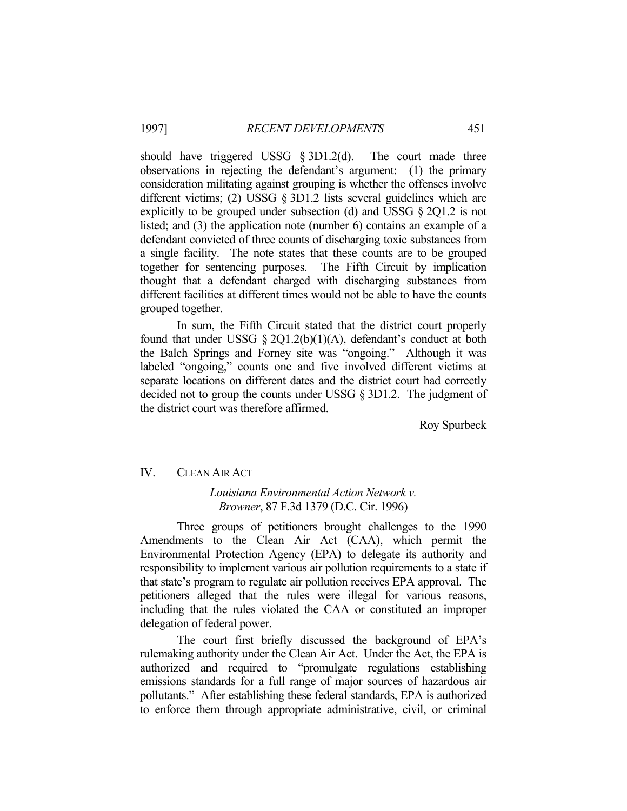should have triggered USSG § 3D1.2(d). The court made three observations in rejecting the defendant's argument: (1) the primary consideration militating against grouping is whether the offenses involve different victims; (2) USSG § 3D1.2 lists several guidelines which are explicitly to be grouped under subsection (d) and USSG § 2Q1.2 is not listed; and (3) the application note (number 6) contains an example of a defendant convicted of three counts of discharging toxic substances from a single facility. The note states that these counts are to be grouped together for sentencing purposes. The Fifth Circuit by implication thought that a defendant charged with discharging substances from different facilities at different times would not be able to have the counts grouped together.

 In sum, the Fifth Circuit stated that the district court properly found that under USSG  $\S 2Q1.2(b)(1)(A)$ , defendant's conduct at both the Balch Springs and Forney site was "ongoing." Although it was labeled "ongoing," counts one and five involved different victims at separate locations on different dates and the district court had correctly decided not to group the counts under USSG § 3D1.2. The judgment of the district court was therefore affirmed.

Roy Spurbeck

# IV. CLEAN AIR ACT

# *Louisiana Environmental Action Network v. Browner*, 87 F.3d 1379 (D.C. Cir. 1996)

 Three groups of petitioners brought challenges to the 1990 Amendments to the Clean Air Act (CAA), which permit the Environmental Protection Agency (EPA) to delegate its authority and responsibility to implement various air pollution requirements to a state if that state's program to regulate air pollution receives EPA approval. The petitioners alleged that the rules were illegal for various reasons, including that the rules violated the CAA or constituted an improper delegation of federal power.

 The court first briefly discussed the background of EPA's rulemaking authority under the Clean Air Act. Under the Act, the EPA is authorized and required to "promulgate regulations establishing emissions standards for a full range of major sources of hazardous air pollutants." After establishing these federal standards, EPA is authorized to enforce them through appropriate administrative, civil, or criminal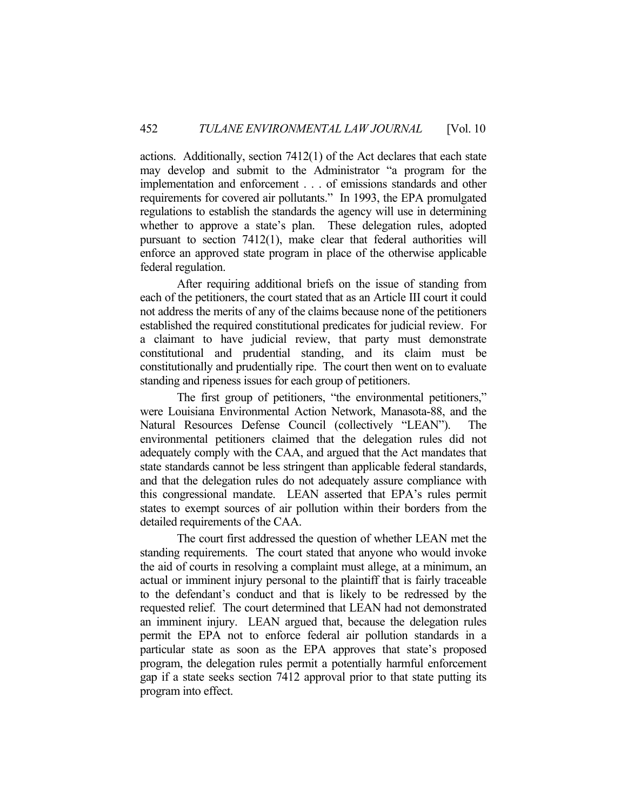actions. Additionally, section 7412(1) of the Act declares that each state may develop and submit to the Administrator "a program for the implementation and enforcement . . . of emissions standards and other requirements for covered air pollutants." In 1993, the EPA promulgated regulations to establish the standards the agency will use in determining whether to approve a state's plan. These delegation rules, adopted pursuant to section 7412(1), make clear that federal authorities will enforce an approved state program in place of the otherwise applicable federal regulation.

 After requiring additional briefs on the issue of standing from each of the petitioners, the court stated that as an Article III court it could not address the merits of any of the claims because none of the petitioners established the required constitutional predicates for judicial review. For a claimant to have judicial review, that party must demonstrate constitutional and prudential standing, and its claim must be constitutionally and prudentially ripe. The court then went on to evaluate standing and ripeness issues for each group of petitioners.

 The first group of petitioners, "the environmental petitioners," were Louisiana Environmental Action Network, Manasota-88, and the Natural Resources Defense Council (collectively "LEAN"). The environmental petitioners claimed that the delegation rules did not adequately comply with the CAA, and argued that the Act mandates that state standards cannot be less stringent than applicable federal standards, and that the delegation rules do not adequately assure compliance with this congressional mandate. LEAN asserted that EPA's rules permit states to exempt sources of air pollution within their borders from the detailed requirements of the CAA.

 The court first addressed the question of whether LEAN met the standing requirements. The court stated that anyone who would invoke the aid of courts in resolving a complaint must allege, at a minimum, an actual or imminent injury personal to the plaintiff that is fairly traceable to the defendant's conduct and that is likely to be redressed by the requested relief. The court determined that LEAN had not demonstrated an imminent injury. LEAN argued that, because the delegation rules permit the EPA not to enforce federal air pollution standards in a particular state as soon as the EPA approves that state's proposed program, the delegation rules permit a potentially harmful enforcement gap if a state seeks section 7412 approval prior to that state putting its program into effect.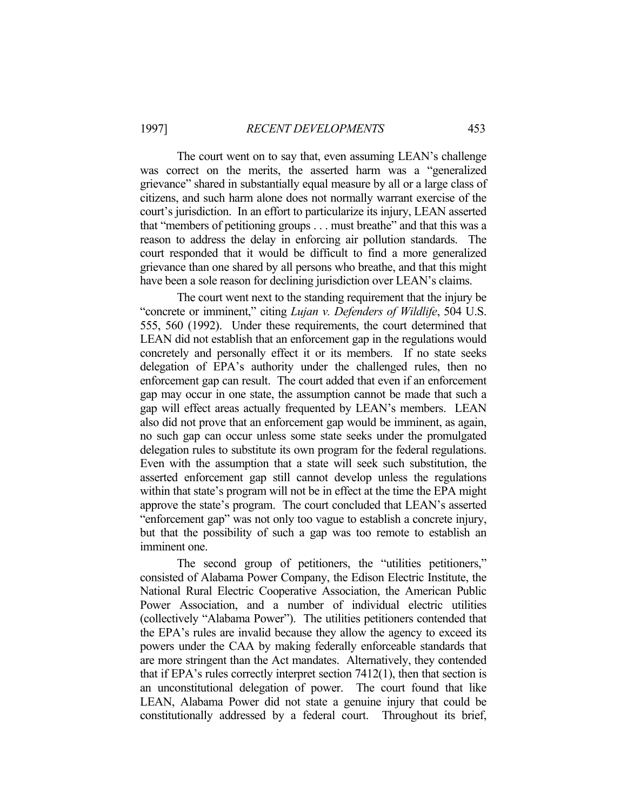The court went on to say that, even assuming LEAN's challenge was correct on the merits, the asserted harm was a "generalized grievance" shared in substantially equal measure by all or a large class of citizens, and such harm alone does not normally warrant exercise of the court's jurisdiction. In an effort to particularize its injury, LEAN asserted that "members of petitioning groups . . . must breathe" and that this was a reason to address the delay in enforcing air pollution standards. The court responded that it would be difficult to find a more generalized grievance than one shared by all persons who breathe, and that this might have been a sole reason for declining jurisdiction over LEAN's claims.

 The court went next to the standing requirement that the injury be "concrete or imminent," citing *Lujan v. Defenders of Wildlife*, 504 U.S. 555, 560 (1992). Under these requirements, the court determined that LEAN did not establish that an enforcement gap in the regulations would concretely and personally effect it or its members. If no state seeks delegation of EPA's authority under the challenged rules, then no enforcement gap can result. The court added that even if an enforcement gap may occur in one state, the assumption cannot be made that such a gap will effect areas actually frequented by LEAN's members. LEAN also did not prove that an enforcement gap would be imminent, as again, no such gap can occur unless some state seeks under the promulgated delegation rules to substitute its own program for the federal regulations. Even with the assumption that a state will seek such substitution, the asserted enforcement gap still cannot develop unless the regulations within that state's program will not be in effect at the time the EPA might approve the state's program. The court concluded that LEAN's asserted "enforcement gap" was not only too vague to establish a concrete injury, but that the possibility of such a gap was too remote to establish an imminent one.

 The second group of petitioners, the "utilities petitioners," consisted of Alabama Power Company, the Edison Electric Institute, the National Rural Electric Cooperative Association, the American Public Power Association, and a number of individual electric utilities (collectively "Alabama Power"). The utilities petitioners contended that the EPA's rules are invalid because they allow the agency to exceed its powers under the CAA by making federally enforceable standards that are more stringent than the Act mandates. Alternatively, they contended that if EPA's rules correctly interpret section 7412(1), then that section is an unconstitutional delegation of power. The court found that like LEAN, Alabama Power did not state a genuine injury that could be constitutionally addressed by a federal court. Throughout its brief,